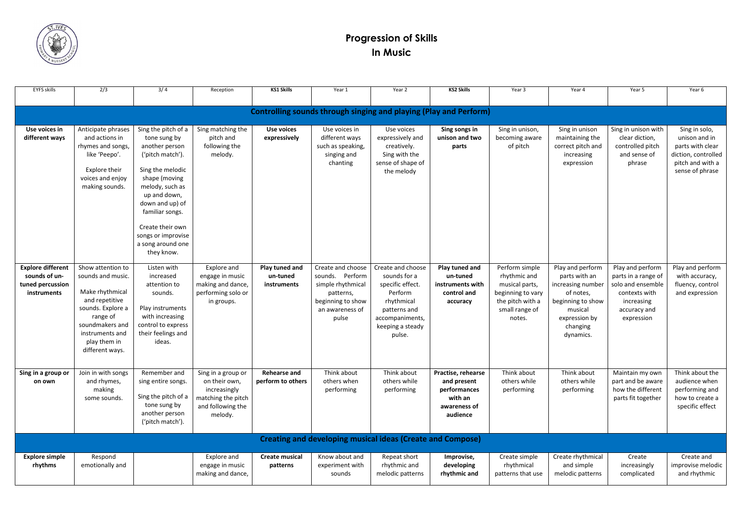

## **Progression of Skills In Music**

| <b>EYFS skills</b>                                                           | 2/3                                                                                                                                                                                   | 3/4                                                                                                                                                                                                                                                                  | Reception                                                                                                 | <b>KS1 Skills</b>                         | Year 1                                                                                                                  | Year 2                                                                                                                                          | <b>KS2 Skills</b>                                                                        | Year 3                                                                                                                | Year 4                                                                                                                                        | Year 5                                                                                                                    | Year 6                                                                                                           |
|------------------------------------------------------------------------------|---------------------------------------------------------------------------------------------------------------------------------------------------------------------------------------|----------------------------------------------------------------------------------------------------------------------------------------------------------------------------------------------------------------------------------------------------------------------|-----------------------------------------------------------------------------------------------------------|-------------------------------------------|-------------------------------------------------------------------------------------------------------------------------|-------------------------------------------------------------------------------------------------------------------------------------------------|------------------------------------------------------------------------------------------|-----------------------------------------------------------------------------------------------------------------------|-----------------------------------------------------------------------------------------------------------------------------------------------|---------------------------------------------------------------------------------------------------------------------------|------------------------------------------------------------------------------------------------------------------|
| <b>Controlling sounds through singing and playing (Play and Perform)</b>     |                                                                                                                                                                                       |                                                                                                                                                                                                                                                                      |                                                                                                           |                                           |                                                                                                                         |                                                                                                                                                 |                                                                                          |                                                                                                                       |                                                                                                                                               |                                                                                                                           |                                                                                                                  |
| Use voices in<br>different ways                                              | Anticipate phrases<br>and actions in<br>rhymes and songs,<br>like 'Peepo'.<br>Explore their<br>voices and enjoy<br>making sounds.                                                     | Sing the pitch of a<br>tone sung by<br>another person<br>('pitch match').<br>Sing the melodic<br>shape (moving<br>melody, such as<br>up and down,<br>down and up) of<br>familiar songs.<br>Create their own<br>songs or improvise<br>a song around one<br>they know. | Sing matching the<br>pitch and<br>following the<br>melody.                                                | <b>Use voices</b><br>expressively         | Use voices in<br>different ways<br>such as speaking,<br>singing and<br>chanting                                         | Use voices<br>expressively and<br>creatively.<br>Sing with the<br>sense of shape of<br>the melody                                               | Sing songs in<br>unison and two<br>parts                                                 | Sing in unison,<br>becoming aware<br>of pitch                                                                         | Sing in unison<br>maintaining the<br>correct pitch and<br>increasing<br>expression                                                            | Sing in unison with<br>clear diction,<br>controlled pitch<br>and sense of<br>phrase                                       | Sing in solo,<br>unison and in<br>parts with clear<br>diction, controlled<br>pitch and with a<br>sense of phrase |
| <b>Explore different</b><br>sounds of un-<br>tuned percussion<br>instruments | Show attention to<br>sounds and music.<br>Make rhythmical<br>and repetitive<br>sounds. Explore a<br>range of<br>soundmakers and<br>instruments and<br>play them in<br>different ways. | Listen with<br>increased<br>attention to<br>sounds.<br>Play instruments<br>with increasing<br>control to express<br>their feelings and<br>ideas.                                                                                                                     | Explore and<br>engage in music<br>making and dance,<br>performing solo or<br>in groups.                   | Play tuned and<br>un-tuned<br>instruments | Create and choose<br>sounds. Perform<br>simple rhythmical<br>patterns,<br>beginning to show<br>an awareness of<br>pulse | Create and choose<br>sounds for a<br>specific effect.<br>Perform<br>rhythmical<br>patterns and<br>accompaniments,<br>keeping a steady<br>pulse. | Play tuned and<br>un-tuned<br>instruments with<br>control and<br>accuracy                | Perform simple<br>rhythmic and<br>musical parts,<br>beginning to vary<br>the pitch with a<br>small range of<br>notes. | Play and perform<br>parts with an<br>increasing number<br>of notes,<br>beginning to show<br>musical<br>expression by<br>changing<br>dynamics. | Play and perform<br>parts in a range of<br>solo and ensemble<br>contexts with<br>increasing<br>accuracy and<br>expression | Play and perform<br>with accuracy,<br>fluency, control<br>and expression                                         |
| Sing in a group or<br>on own                                                 | Join in with songs<br>and rhymes,<br>making<br>some sounds.                                                                                                                           | Remember and<br>sing entire songs.<br>Sing the pitch of a<br>tone sung by<br>another person<br>('pitch match').                                                                                                                                                      | Sing in a group or<br>on their own,<br>increasingly<br>matching the pitch<br>and following the<br>melody. | <b>Rehearse and</b><br>perform to others  | Think about<br>others when<br>performing                                                                                | Think about<br>others while<br>performing                                                                                                       | Practise, rehearse<br>and present<br>performances<br>with an<br>awareness of<br>audience | Think about<br>others while<br>performing                                                                             | Think about<br>others while<br>performing                                                                                                     | Maintain my own<br>part and be aware<br>how the different<br>parts fit together                                           | Think about the<br>audience when<br>performing and<br>how to create a<br>specific effect                         |
|                                                                              |                                                                                                                                                                                       |                                                                                                                                                                                                                                                                      |                                                                                                           |                                           |                                                                                                                         | <b>Creating and developing musical ideas (Create and Compose)</b>                                                                               |                                                                                          |                                                                                                                       |                                                                                                                                               |                                                                                                                           |                                                                                                                  |
| <b>Explore simple</b><br>rhythms                                             | Respond<br>emotionally and                                                                                                                                                            |                                                                                                                                                                                                                                                                      | Explore and<br>engage in music<br>making and dance,                                                       | <b>Create musical</b><br>patterns         | Know about and<br>experiment with<br>sounds                                                                             | Repeat short<br>rhythmic and<br>melodic patterns                                                                                                | Improvise,<br>developing<br>rhythmic and                                                 | Create simple<br>rhythmical<br>patterns that use                                                                      | Create rhythmical<br>and simple<br>melodic patterns                                                                                           | Create<br>increasingly<br>complicated                                                                                     | Create and<br>improvise melodic<br>and rhythmic                                                                  |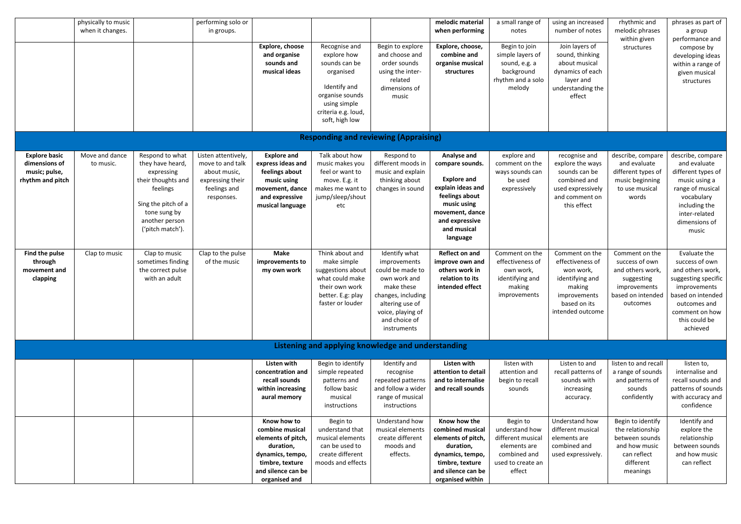|                                                                            | physically to music<br>when it changes. |                                                                                                                                                                  | performing solo or<br>in groups.                                                                          | Explore, choose<br>and organise<br>sounds and<br>musical ideas                                                                                  | Recognise and<br>explore how<br>sounds can be<br>organised<br>Identify and<br>organise sounds<br>using simple<br>criteria e.g. loud,<br>soft, high low | Begin to explore<br>and choose and<br>order sounds<br>using the inter-<br>related<br>dimensions of<br>music                                                                   | melodic material<br>when performing<br>Explore, choose,<br>combine and<br>organise musical<br>structures                                                                   | a small range of<br>notes<br>Begin to join<br>simple layers of<br>sound, e.g. a<br>background<br>rhythm and a solo<br>melody | using an increased<br>number of notes<br>Join layers of<br>sound, thinking<br>about musical<br>dynamics of each<br>layer and<br>understanding the<br>effect | rhythmic and<br>melodic phrases<br>within given<br>structures                                                    | phrases as part of<br>a group<br>performance and<br>compose by<br>developing ideas<br>within a range of<br>given musical<br>structures                                                            |
|----------------------------------------------------------------------------|-----------------------------------------|------------------------------------------------------------------------------------------------------------------------------------------------------------------|-----------------------------------------------------------------------------------------------------------|-------------------------------------------------------------------------------------------------------------------------------------------------|--------------------------------------------------------------------------------------------------------------------------------------------------------|-------------------------------------------------------------------------------------------------------------------------------------------------------------------------------|----------------------------------------------------------------------------------------------------------------------------------------------------------------------------|------------------------------------------------------------------------------------------------------------------------------|-------------------------------------------------------------------------------------------------------------------------------------------------------------|------------------------------------------------------------------------------------------------------------------|---------------------------------------------------------------------------------------------------------------------------------------------------------------------------------------------------|
|                                                                            |                                         |                                                                                                                                                                  |                                                                                                           |                                                                                                                                                 |                                                                                                                                                        | <b>Responding and reviewing (Appraising)</b>                                                                                                                                  |                                                                                                                                                                            |                                                                                                                              |                                                                                                                                                             |                                                                                                                  |                                                                                                                                                                                                   |
| <b>Explore basic</b><br>dimensions of<br>music; pulse,<br>rhythm and pitch | Move and dance<br>to music.             | Respond to what<br>they have heard,<br>expressing<br>their thoughts and<br>feelings<br>Sing the pitch of a<br>tone sung by<br>another person<br>('pitch match'). | Listen attentively,<br>move to and talk<br>about music,<br>expressing their<br>feelings and<br>responses. | <b>Explore and</b><br>express ideas and<br>feelings about<br>music using<br>movement, dance<br>and expressive<br>musical language               | Talk about how<br>music makes you<br>feel or want to<br>move. E.g. it<br>makes me want to<br>jump/sleep/shout<br>etc                                   | Respond to<br>different moods in<br>music and explain<br>thinking about<br>changes in sound                                                                                   | Analyse and<br>compare sounds.<br><b>Explore and</b><br>explain ideas and<br>feelings about<br>music using<br>movement, dance<br>and expressive<br>and musical<br>language | explore and<br>comment on the<br>ways sounds can<br>be used<br>expressively                                                  | recognise and<br>explore the ways<br>sounds can be<br>combined and<br>used expressively<br>and comment on<br>this effect                                    | describe, compare<br>and evaluate<br>different types of<br>music beginning<br>to use musical<br>words            | describe, compare<br>and evaluate<br>different types of<br>music using a<br>range of musical<br>vocabulary<br>including the<br>inter-related<br>dimensions of<br>music                            |
| Find the pulse<br>through<br>movement and<br>clapping                      | Clap to music                           | Clap to music<br>sometimes finding<br>the correct pulse<br>with an adult                                                                                         | Clap to the pulse<br>of the music                                                                         | <b>Make</b><br>improvements to<br>my own work                                                                                                   | Think about and<br>make simple<br>suggestions about<br>what could make<br>their own work<br>better. E.g: play<br>faster or louder                      | Identify what<br>improvements<br>could be made to<br>own work and<br>make these<br>changes, including<br>altering use of<br>voice, playing of<br>and choice of<br>instruments | <b>Reflect on and</b><br>improve own and<br>others work in<br>relation to its<br>intended effect                                                                           | Comment on the<br>effectiveness of<br>own work,<br>identifying and<br>making<br>improvements                                 | Comment on the<br>effectiveness of<br>won work,<br>identifying and<br>making<br>improvements<br>based on its<br>intended outcome                            | Comment on the<br>success of own<br>and others work,<br>suggesting<br>improvements<br>outcomes                   | Evaluate the<br>success of own<br>and others work,<br>suggesting specific<br>improvements<br>based on intended   based on intended<br>outcomes and<br>comment on how<br>this could be<br>achieved |
|                                                                            |                                         |                                                                                                                                                                  |                                                                                                           |                                                                                                                                                 |                                                                                                                                                        | Listening and applying knowledge and understanding                                                                                                                            |                                                                                                                                                                            |                                                                                                                              |                                                                                                                                                             |                                                                                                                  |                                                                                                                                                                                                   |
|                                                                            |                                         |                                                                                                                                                                  |                                                                                                           | Listen with<br>concentration and<br>recall sounds<br>within increasing<br>aural memory                                                          | Begin to identify<br>simple repeated<br>patterns and<br>follow basic<br>musical<br>instructions                                                        | Identify and<br>recognise<br>repeated patterns<br>and follow a wider<br>range of musical<br>instructions                                                                      | Listen with<br>attention to detail<br>and to internalise<br>and recall sounds                                                                                              | listen with<br>attention and<br>begin to recall<br>sounds                                                                    | Listen to and<br>recall patterns of<br>sounds with<br>increasing<br>accuracy.                                                                               | listen to and recall<br>a range of sounds<br>and patterns of<br>sounds<br>confidently                            | listen to,<br>internalise and<br>recall sounds and<br>patterns of sounds<br>with accuracy and<br>confidence                                                                                       |
|                                                                            |                                         |                                                                                                                                                                  |                                                                                                           | Know how to<br>combine musical<br>elements of pitch,<br>duration,<br>dynamics, tempo,<br>timbre, texture<br>and silence can be<br>organised and | Begin to<br>understand that<br>musical elements<br>can be used to<br>create different<br>moods and effects                                             | Understand how<br>musical elements<br>create different<br>moods and<br>effects.                                                                                               | Know how the<br>combined musical<br>elements of pitch,<br>duration,<br>dynamics, tempo,<br>timbre, texture<br>and silence can be<br>organised within                       | Begin to<br>understand how<br>different musical<br>elements are<br>combined and<br>used to create an<br>effect               | Understand how<br>different musical<br>elements are<br>combined and<br>used expressively.                                                                   | Begin to identify<br>the relationship<br>between sounds<br>and how music<br>can reflect<br>different<br>meanings | Identify and<br>explore the<br>relationship<br>between sounds<br>and how music<br>can reflect                                                                                                     |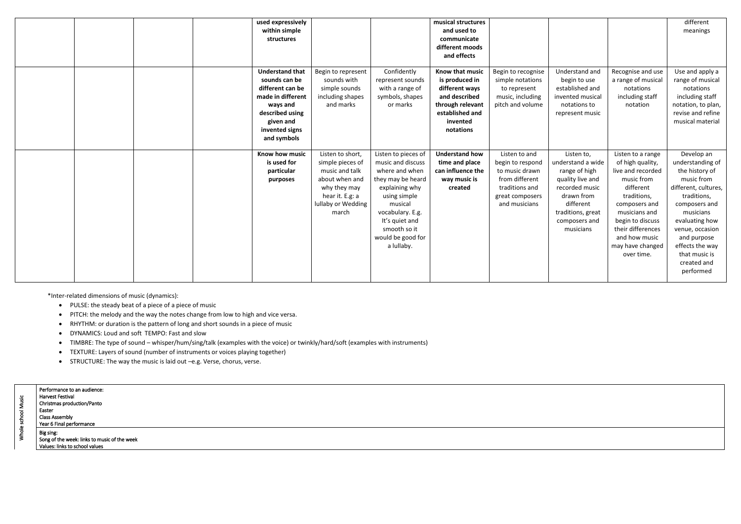|  | used expressively<br>within simple<br>structures                                                                                                              |                                                                                                                                            |                                                                                                                                                                                                                       | musical structures<br>and used to<br>communicate<br>different moods<br>and effects                                                   |                                                                                                                             |                                                                                                                                                                      |                                                                                                                                                                                                                                    | different<br>meanings                                                                                                                                                                                                                                   |
|--|---------------------------------------------------------------------------------------------------------------------------------------------------------------|--------------------------------------------------------------------------------------------------------------------------------------------|-----------------------------------------------------------------------------------------------------------------------------------------------------------------------------------------------------------------------|--------------------------------------------------------------------------------------------------------------------------------------|-----------------------------------------------------------------------------------------------------------------------------|----------------------------------------------------------------------------------------------------------------------------------------------------------------------|------------------------------------------------------------------------------------------------------------------------------------------------------------------------------------------------------------------------------------|---------------------------------------------------------------------------------------------------------------------------------------------------------------------------------------------------------------------------------------------------------|
|  | <b>Understand that</b><br>sounds can be<br>different can be<br>made in different<br>ways and<br>described using<br>given and<br>invented signs<br>and symbols | Begin to represent<br>sounds with<br>simple sounds<br>including shapes<br>and marks                                                        | Confidently<br>represent sounds<br>with a range of<br>symbols, shapes<br>or marks                                                                                                                                     | Know that music<br>is produced in<br>different ways<br>and described<br>through relevant<br>established and<br>invented<br>notations | Begin to recognise<br>simple notations<br>to represent<br>music, including<br>pitch and volume                              | Understand and<br>begin to use<br>established and<br>invented musical<br>notations to<br>represent music                                                             | Recognise and use<br>a range of musical<br>notations<br>including staff<br>notation                                                                                                                                                | Use and apply a<br>range of musical<br>notations<br>including staff<br>notation, to plan,<br>revise and refine<br>musical material                                                                                                                      |
|  | Know how music<br>is used for<br>particular<br>purposes                                                                                                       | Listen to short,<br>simple pieces of<br>music and talk<br>about when and<br>why they may<br>hear it. E.g: a<br>lullaby or Wedding<br>march | Listen to pieces of<br>music and discuss<br>where and when<br>they may be heard<br>explaining why<br>using simple<br>musical<br>vocabulary. E.g.<br>It's quiet and<br>smooth so it<br>would be good for<br>a lullaby. | <b>Understand how</b><br>time and place<br>can influence the<br>way music is<br>created                                              | Listen to and<br>begin to respond<br>to music drawn<br>from different<br>traditions and<br>great composers<br>and musicians | Listen to,<br>understand a wide<br>range of high<br>quality live and<br>recorded music<br>drawn from<br>different<br>traditions, great<br>composers and<br>musicians | Listen to a range<br>of high quality,<br>live and recorded<br>music from<br>different<br>traditions,<br>composers and<br>musicians and<br>begin to discuss<br>their differences<br>and how music<br>may have changed<br>over time. | Develop an<br>understanding of<br>the history of<br>music from<br>different, cultures,<br>traditions,<br>composers and<br>musicians<br>evaluating how<br>venue, occasion<br>and purpose<br>effects the way<br>that music is<br>created and<br>performed |

\*Inter-related dimensions of music (dynamics):

- PULSE: the steady beat of a piece of a piece of music
- PITCH: the melody and the way the notes change from low to high and vice versa.
- RHYTHM: or duration is the pattern of long and short sounds in a piece of music
- DYNAMICS: Loud and soft TEMPO: Fast and slow
- TIMBRE: The type of sound whisper/hum/sing/talk (examples with the voice) or twinkly/hard/soft (examples with instruments)
- TEXTURE: Layers of sound (number of instruments or voices playing together)
- STRUCTURE: The way the music is laid out –e.g. Verse, chorus, verse.

| usic<br>흥 | Performance to an audience:<br>Harvest Festival<br>Christmas production/Panto<br>Easter<br><b>Class Assembly</b><br>Year 6 Final performance |
|-----------|----------------------------------------------------------------------------------------------------------------------------------------------|
|           | Big sing:<br>Song of the week: links to music of the week<br>Values: links to school values                                                  |